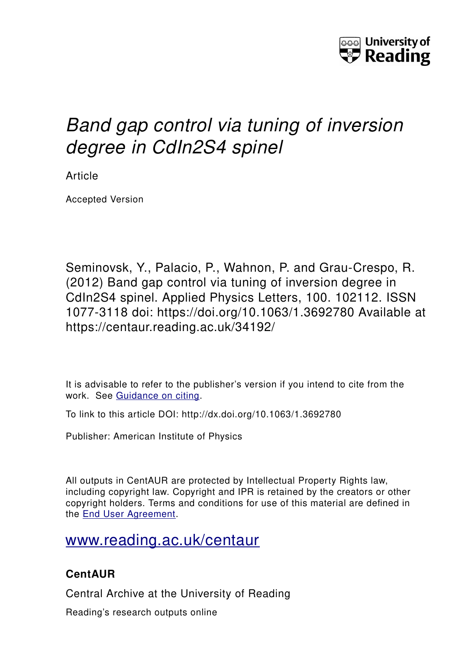

## *Band gap control via tuning of inversion degree in CdIn2S4 spinel*

Article

Accepted Version

Seminovsk, Y., Palacio, P., Wahnon, P. and Grau-Crespo, R. (2012) Band gap control via tuning of inversion degree in CdIn2S4 spinel. Applied Physics Letters, 100. 102112. ISSN 1077-3118 doi: https://doi.org/10.1063/1.3692780 Available at https://centaur.reading.ac.uk/34192/

It is advisable to refer to the publisher's version if you intend to cite from the work. See [Guidance on citing.](http://centaur.reading.ac.uk/71187/10/CentAUR%20citing%20guide.pdf)

To link to this article DOI: http://dx.doi.org/10.1063/1.3692780

Publisher: American Institute of Physics

All outputs in CentAUR are protected by Intellectual Property Rights law, including copyright law. Copyright and IPR is retained by the creators or other copyright holders. Terms and conditions for use of this material are defined in the [End User Agreement.](http://centaur.reading.ac.uk/licence)

[www.reading.ac.uk/centaur](http://www.reading.ac.uk/centaur)

## **CentAUR**

Central Archive at the University of Reading

Reading's research outputs online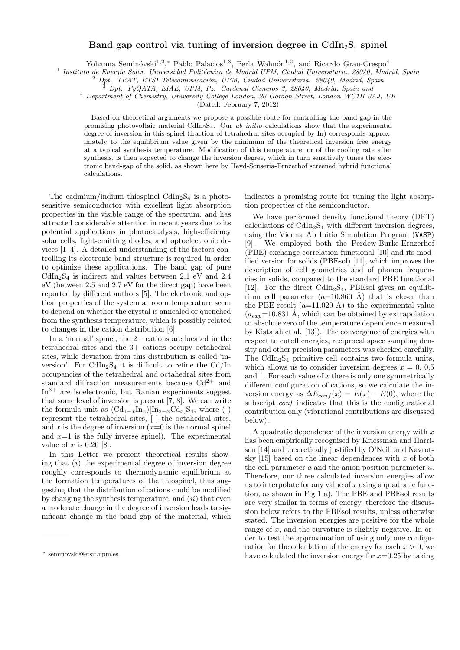## **Band gap control via tuning of inversion degree in CdIn**2**S**<sup>4</sup> **spinel**

Yohanna Seminóvski<sup>1,2</sup>,\* Pablo Palacios<sup>1,3</sup>, Perla Wahnón<sup>1,2</sup>, and Ricardo Grau-Crespo<sup>4</sup>

<sup>1</sup> Instituto de Energía Solar, Universidad Politécnica de Madrid UPM, Ciudad Universitaria, 28040, Madrid, Spain

<sup>2</sup> *Dpt. TEAT, ETSI Telecomunicaci´on, UPM, Ciudad Universitaria. 28040, Madrid, Spain*

<sup>3</sup> *Dpt. FyQATA, EIAE, UPM, Pz. Cardenal Cisneros 3, 28040, Madrid, Spain and*

<sup>4</sup> *Department of Chemistry, University College London, 20 Gordon Street, London WC1H 0AJ, UK*

(Dated: February 7, 2012)

Based on theoretical arguments we propose a possible route for controlling the band-gap in the promising photovoltaic material CdIn2S4. Our *ab initio* calculations show that the experimental degree of inversion in this spinel (fraction of tetrahedral sites occupied by In) corresponds approximately to the equilibrium value given by the minimum of the theoretical inversion free energy at a typical synthesis temperature. Modification of this temperature, or of the cooling rate after synthesis, is then expected to change the inversion degree, which in turn sensitively tunes the electronic band-gap of the solid, as shown here by Heyd-Scuseria-Ernzerhof screened hybrid functional calculations.

The cadmium/indium thiospinel  $CdIn<sub>2</sub>S<sub>4</sub>$  is a photosensitive semiconductor with excellent light absorption properties in the visible range of the spectrum, and has attracted considerable attention in recent years due to its potential applications in photocatalysis, high-efficiency solar cells, light-emitting diodes, and optoelectronic devices [1–4]. A detailed understanding of the factors controlling its electronic band structure is required in order to optimize these applications. The band gap of pure  $CdIn<sub>2</sub>S<sub>4</sub>$  is indirect and values between 2.1 eV and 2.4 eV (between 2.5 and 2.7 eV for the direct gap) have been reported by different authors [5]. The electronic and optical properties of the system at room temperature seem to depend on whether the crystal is annealed or quenched from the synthesis temperature, which is possibly related to changes in the cation distribution [6].

In a 'normal' spinel, the 2+ cations are located in the tetrahedral sites and the 3+ cations occupy octahedral sites, while deviation from this distribution is called 'inversion'. For  $\text{CdIn}_2\text{S}_4$  it is difficult to refine the  $\text{Cd}/\text{In}$ occupancies of the tetrahedral and octahedral sites from standard diffraction measurements because  $Cd^{2+}$  and  $\text{In}^{3+}$  are isoelectronic, but Raman experiments suggest that some level of inversion is present [7, 8]. We can write the formula unit as  $(\text{Cd}_{1-x}\text{In}_x)[\text{In}_{2-x}\text{Cd}_x]S_4$ , where () represent the tetrahedral sites, [ ] the octahedral sites, and  $x$  is the degree of inversion  $(x=0)$  is the normal spinel and  $x=1$  is the fully inverse spinel). The experimental value of *x* is 0.20 [8].

In this Letter we present theoretical results showing that (*i*) the experimental degree of inversion degree roughly corresponds to thermodynamic equilibrium at the formation temperatures of the thiospinel, thus suggesting that the distribution of cations could be modified by changing the synthesis temperature, and (*ii*) that even a moderate change in the degree of inversion leads to significant change in the band gap of the material, which

indicates a promising route for tuning the light absorption properties of the semiconductor.

We have performed density functional theory (DFT) calculations of  $\text{CdIn}_2\text{S}_4$  with different inversion degrees, using the Vienna Ab Initio Simulation Program (VASP) [9]. We employed both the Perdew-Burke-Ernzerhof (PBE) exchange-correlation functional [10] and its modified version for solids (PBEsol) [11], which improves the description of cell geometries and of phonon frequencies in solids, compared to the standard PBE functional [12]. For the direct  $\text{CdIn}_2\text{S}_4$ , PBEsol gives an equilibrium cell parameter  $(a=10.860 \text{ Å})$  that is closer than the PBE result  $(a=11.020 \text{ Å})$  to the experimental value  $(a_{exp}=10.831 \text{ Å}, \text{ which can be obtained by extrapolation}$ to absolute zero of the temperature dependence measured by Kistaiah et al. [13]). The convergence of energies with respect to cutoff energies, reciprocal space sampling density and other precision parameters was checked carefully. The  $CdIn<sub>2</sub>S<sub>4</sub>$  primitive cell contains two formula units, which allows us to consider inversion degrees  $x = 0, 0.5$ and 1. For each value of *x* there is only one symmetrically different configuration of cations, so we calculate the inversion energy as  $\Delta E_{conf}(x) = E(x) - E(0)$ , where the subscript *conf* indicates that this is the configurational contribution only (vibrational contributions are discussed below).

A quadratic dependence of the inversion energy with *x* has been empirically recognised by Kriessman and Harrison [14] and theoretically justified by O'Neill and Navrotsky [15] based on the linear dependences with *x* of both the cell parameter *a* and the anion position parameter *u*. Therefore, our three calculated inversion energies allow us to interpolate for any value of *x* using a quadratic function, as shown in Fig 1 a). The PBE and PBEsol results are very similar in terms of energy, therefore the discussion below refers to the PBEsol results, unless otherwise stated. The inversion energies are positive for the whole range of x, and the curvature is slightly negative. In order to test the approximation of using only one configuration for the calculation of the energy for each  $x > 0$ , we have calculated the inversion energy for *x*=0.25 by taking

*<sup>∗</sup>* seminovski@etsit.upm.es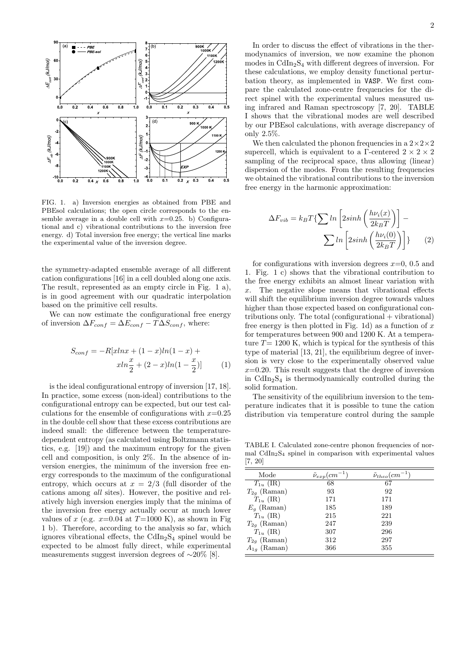

FIG. 1. a) Inversion energies as obtained from PBE and PBEsol calculations; the open circle corresponds to the ensemble average in a double cell with  $x=0.25$ . b) Configurational and c) vibrational contributions to the inversion free energy. d) Total inversion free energy; the vertical line marks the experimental value of the inversion degree.

the symmetry-adapted ensemble average of all different cation configurations [16] in a cell doubled along one axis. The result, represented as an empty circle in Fig. 1 a), is in good agreement with our quadratic interpolation based on the primitive cell results.

We can now estimate the configurational free energy of inversion  $\Delta F_{conf} = \Delta E_{conf} - T\Delta S_{conf}$ , where:

$$
S_{conf} = -R[xlnx + (1 - x)ln(1 - x) + xln\frac{x}{2} + (2 - x)ln(1 - \frac{x}{2})]
$$
 (1)

is the ideal configurational entropy of inversion [17, 18]. In practice, some excess (non-ideal) contributions to the configurational entropy can be expected, but our test calculations for the ensemble of configurations with  $x=0.25$ in the double cell show that these excess contributions are indeed small: the difference between the temperaturedependent entropy (as calculated using Boltzmann statistics, e.g. [19]) and the maximum entropy for the given cell and composition, is only 2%. In the absence of inversion energies, the minimum of the inversion free energy corresponds to the maximum of the configurational entropy, which occurs at  $x = 2/3$  (full disorder of the cations among *all* sites). However, the positive and relatively high inversion energies imply that the minima of the inversion free energy actually occur at much lower values of *x* (e.g.  $x=0.04$  at  $T=1000$  K), as shown in Fig. 1 b). Therefore, according to the analysis so far, which ignores vibrational effects, the  $CdIn<sub>2</sub>S<sub>4</sub>$  spinel would be expected to be almost fully direct, while experimental measurements suggest inversion degrees of *∼*20% [8].

In order to discuss the effect of vibrations in the thermodynamics of inversion, we now examine the phonon modes in  $\text{CdIn}_2\text{S}_4$  with different degrees of inversion. For these calculations, we employ density functional perturbation theory, as implemented in VASP. We first compare the calculated zone-centre frequencies for the direct spinel with the experimental values measured using infrared and Raman spectroscopy [7, 20]. TABLE I shows that the vibrational modes are well described by our PBEsol calculations, with average discrepancy of only 2.5%.

We then calculated the phonon frequencies in a  $2\times2\times2$ supercell, which is equivalent to a Γ-centered  $2 \times 2 \times 2$ sampling of the reciprocal space, thus allowing (linear) dispersion of the modes. From the resulting frequencies we obtained the vibrational contributions to the inversion free energy in the harmonic approximation:

$$
\Delta F_{vib} = k_B T \{ \sum \ln \left[ 2\sinh \left( \frac{h\nu_i(x)}{2k_B T} \right) \right] - \sum \ln \left[ 2\sinh \left( \frac{h\nu_i(0)}{2k_B T} \right) \right] \}
$$
(2)

for configurations with inversion degrees  $x=0$ , 0.5 and 1. Fig. 1 c) shows that the vibrational contribution to the free energy exhibits an almost linear variation with *x*. The negative slope means that vibrational effects will shift the equilibrium inversion degree towards values higher than those expected based on configurational contributions only. The total  $(configurational + vibrational)$ free energy is then plotted in Fig. 1d) as a function of *x* for temperatures between 900 and 1200 K. At a temperature  $T = 1200$  K, which is typical for the synthesis of this type of material [13, 21], the equilibrium degree of inversion is very close to the experimentally observed value  $x=0.20$ . This result suggests that the degree of inversion in  $\text{CdIn}_2\text{S}_4$  is thermodynamically controlled during the solid formation.

The sensitivity of the equilibrium inversion to the temperature indicates that it is possible to tune the cation distribution via temperature control during the sample

TABLE I. Calculated zone-centre phonon frequencies of normal  $CdIn<sub>2</sub>S<sub>4</sub>$  spinel in comparison with experimental values [7, 20]

| Mode             | $\tilde{\nu}_{exp}(cm^{-1})$ | $\tilde{\nu}_{theo}(cm^{-1})$ |
|------------------|------------------------------|-------------------------------|
| $T_{1u}$ (IR)    | 68                           | 67                            |
| $T_{2q}$ (Raman) | 93                           | 92                            |
| $T_{1u}$ (IR)    | 171                          | 171                           |
| $E_a$ (Raman)    | 185                          | 189                           |
| $T_{1u}$ (IR)    | 215                          | 221                           |
| $T_{2q}$ (Raman) | 247                          | 239                           |
| $T_{1u}$ (IR)    | 307                          | 296                           |
| $T_{2q}$ (Raman) | 312                          | 297                           |
| $A_{1q}$ (Raman) | 366                          | 355                           |
|                  |                              |                               |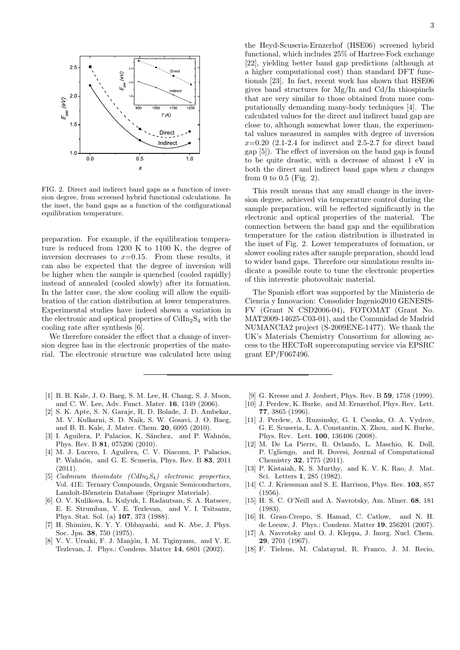

FIG. 2. Direct and indirect band gaps as a function of inversion degree, from screened hybrid functional calculations. In the inset, the band gaps as a function of the configurational equilibration temperature.

preparation. For example, if the equilibration temperature is reduced from 1200 K to 1100 K, the degree of inversion decreases to  $x=0.15$ . From these results, it can also be expected that the degree of inversion will be higher when the sample is quenched (cooled rapidly) instead of annealed (cooled slowly) after its formation. In the latter case, the slow cooling will allow the equilibration of the cation distribution at lower temperatures. Experimental studies have indeed shown a variation in the electronic and optical properties of  $CdIn<sub>2</sub>S<sub>4</sub>$  with the cooling rate after synthesis [6].

We therefore consider the effect that a change of inversion degree has in the electronic properties of the material. The electronic structure was calculated here using

- [1] B. B. Kale, J. O. Baeg, S. M. Lee, H. Chang, S. J. Moon, and C. W. Lee, Adv. Funct. Mater. **16**, 1349 (2006).
- [2] S. K. Apte, S. N. Garaje, R. D. Bolade, J. D. Ambekar, M. V. Kulkarni, S. D. Naik, S. W. Gosavi, J. O. Baeg, and B. B. Kale, J. Mater. Chem. **20**, 6095 (2010).
- [3] I. Aguilera, P. Palacios, K. Sánchez, and P. Wahnón, Phys. Rev. B **81**, 075206 (2010).
- [4] M. J. Lucero, I. Aguilera, C. V. Diaconu, P. Palacios, P. Wahn´on, and G. E. Scuseria, Phys. Rev. B **83**, 2011  $(2011).$
- [5] *Cadmium thioindate (CdIn*2*S*4*) electronic properties*, Vol. 41E: Ternary Compounds, Organic Semiconductors, Landolt-Bőrnstein Database (Springer Materials).
- [6] O. V. Kulikova, L. Kulyuk, I. Radautsan, S. A. Ratseev, E. E. Strumban, V. E. Tezlevan, and V. I. Tsitsanu, Phys. Stat. Sol. (a) **107**, 373 (1988).
- [7] H. Shimizu, K. Y. Y. Ohbayashi, and K. Abe, J. Phys. Soc. Jpn. **38**, 750 (1975).
- [8] V. V. Ursaki, F. J. Manjón, I. M. Tiginyanu, and V. E. Tezlevan, J. Phys.: Condens. Matter **14**, 6801 (2002).

the Heyd-Scuseria-Ernzerhof (HSE06) screened hybrid functional, which includes 25% of Hartree-Fock exchange [22], yielding better band gap predictions (although at a higher computational cost) than standard DFT functionals [23]. In fact, recent work has shown that HSE06 gives band structures for Mg/In and Cd/In thiospinels that are very similar to those obtained from more computationally demanding many-body techniques [4]. The calculated values for the direct and indirect band gap are close to, although somewhat lower than, the experimental values measured in samples with degree of inversion *x*=0.20 (2.1-2.4 for indirect and 2.5-2.7 for direct band gap [5]). The effect of inversion on the band gap is found to be quite drastic, with a decrease of almost 1 eV in both the direct and indirect band gaps when *x* changes

This result means that any small change in the inversion degree, achieved via temperature control during the sample preparation, will be reflected significantly in the electronic and optical properties of the material. The connection between the band gap and the equilibration temperature for the cation distribution is illustrated in the inset of Fig. 2. Lower temperatures of formation, or slower cooling rates after sample preparation, should lead to wider band gaps. Therefore our simulations results indicate a possible route to tune the electronic properties of this interestic photovoltaic material.

from 0 to 0.5 (Fig. 2).

The Spanish effort was supported by the Ministerio de Ciencia y Innovacion: Consolider Ingenio2010 GENESIS-FV (Grant N CSD2006-04), FOTOMAT (Grant No. MAT2009-14625-C03-01), and the Comunidad de Madrid NUMANCIA2 project (S-2009ENE-1477). We thank the UK's Materials Chemistry Consortium for allowing access to the HECToR supercomputing service via EPSRC grant EP/F067496.

- [9] G. Kresse and J. Joubert, Phys. Rev. B **59**, 1758 (1999).
- [10] J. Perdew, K. Burke, and M. Ernzerhof, Phys. Rev. Lett. **77**, 3865 (1996).
- [11] J. Perdew, A. Ruzsinsky, G. I. Csonka, O. A. Vydrov, G. E. Scuseria, L. A. Constantin, X. Zhou, and K. Burke, Phys. Rev. Lett. **100**, 136406 (2008).
- [12] M. De La Pierre, R. Orlando, L. Maschio, K. Doll, P. Ugliengo, and R. Dovesi, Journal of Computational Chemistry **32**, 1775 (2011).
- [13] P. Kistaiah, K. S. Murthy, and K. V. K. Rao, J. Mat. Sci. Letters **1**, 285 (1982).
- [14] C. J. Kriessman and S. E. Harrison, Phys. Rev. **103**, 857 (1956).
- [15] H. S. C. O'Neill and A. Navrotsky, Am. Miner. **68**, 181 (1983).
- [16] R. Grau-Crespo, S. Hamad, C. Catlow, and N. H. de Leeuw, J. Phys.: Condens. Matter **19**, 256201 (2007).
- [17] A. Navrotsky and O. J. Kleppa, J. Inorg. Nucl. Chem. **29**, 2701 (1967).
- [18] F. Tielens, M. Calatayud, R. Franco, J. M. Recio,